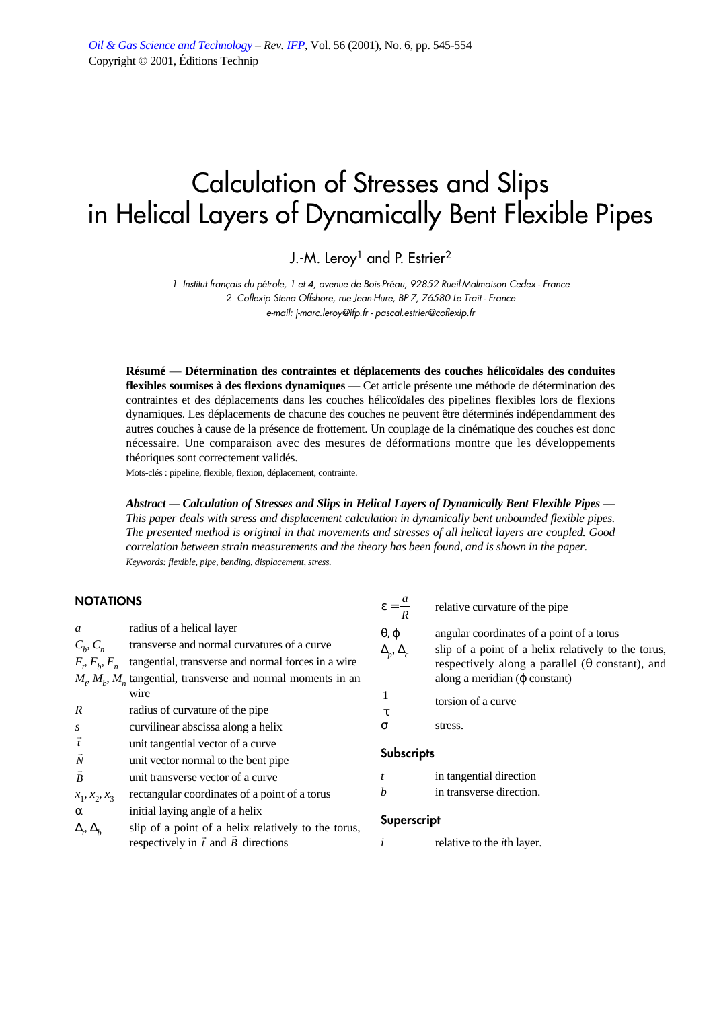# Calculation of Stresses and Slips in Helical Layers of Dynamically Bent Flexible Pipes

J.-M. Leroy<sup>1</sup> and P. Estrier<sup>2</sup>

*1 Institut français du pétrole, 1 et 4, avenue de Bois-Préau, 92852 Rueil-Malmaison Cedex - France 2 Coflexip Stena Offshore, rue Jean-Hure, BP 7, 76580 Le Trait - France e-mail: j-marc.leroy@ifp.fr - pascal.estrier@coflexip.fr*

**Résumé** — **Détermination des contraintes et déplacements des couches hélicoïdales des conduites flexibles soumises à des flexions dynamiques** — Cet article présente une méthode de détermination des contraintes et des déplacements dans les couches hélicoïdales des pipelines flexibles lors de flexions dynamiques. Les déplacements de chacune des couches ne peuvent être déterminés indépendamment des autres couches à cause de la présence de frottement. Un couplage de la cinématique des couches est donc nécessaire. Une comparaison avec des mesures de déformations montre que les développements théoriques sont correctement validés.

Mots-clés : pipeline, flexible, flexion, déplacement, contrainte.

*Abstract — Calculation of Stresses and Slips in Helical Layers of Dynamically Bent Flexible Pipes* — *This paper deals with stress and displacement calculation in dynamically bent unbounded flexible pipes. The presented method is original in that movements and stresses of all helical layers are coupled. Good correlation between strain measurements and the theory has been found, and is shown in the paper. Keywords: flexible, pipe, bending, displacement, stress.*

## **NOTATIONS**

| <b>NOTATIONS</b>                        |                                                                                                                                                                                                     | $\epsilon = \frac{u}{x}$<br>R                | relative curvature of the pipe                                                                                                                                                                               |
|-----------------------------------------|-----------------------------------------------------------------------------------------------------------------------------------------------------------------------------------------------------|----------------------------------------------|--------------------------------------------------------------------------------------------------------------------------------------------------------------------------------------------------------------|
| a<br>$C_{k}$ , $C_{n}$<br>$F_p F_p F_n$ | radius of a helical layer<br>transverse and normal curvatures of a curve<br>tangential, transverse and normal forces in a wire<br>$M_r M_h$ , $M_n$ tangential, transverse and normal moments in an | $\theta$ , $\varphi$<br>$\Delta_p, \Delta_c$ | angular coordinates of a point of a torus<br>slip of a point of a helix relatively to the torus,<br>respectively along a parallel ( $\theta$ constant), and<br>along a meridian $(\varphi \text{ constant})$ |
| R                                       | wire<br>radius of curvature of the pipe                                                                                                                                                             | τ                                            | torsion of a curve                                                                                                                                                                                           |
| S<br>$\vec{t}$<br>$\vec{N}$             | curvilinear abscissa along a helix<br>unit tangential vector of a curve<br>unit vector normal to the bent pipe                                                                                      | $\sigma$<br><b>Subscripts</b>                | stress.                                                                                                                                                                                                      |
| $\vec{B}$<br>$x_1, x_2, x_3$            | unit transverse vector of a curve<br>rectangular coordinates of a point of a torus                                                                                                                  | b                                            | in tangential direction<br>in transverse direction.                                                                                                                                                          |
| $\alpha$<br>$\Delta_t, \Delta_b$        | initial laying angle of a helix<br>slip of a point of a helix relatively to the torus,<br>respectively in $\vec{t}$ and $\vec{B}$ directions                                                        | Superscript                                  | relative to the <i>i</i> th layer.                                                                                                                                                                           |
|                                         |                                                                                                                                                                                                     |                                              |                                                                                                                                                                                                              |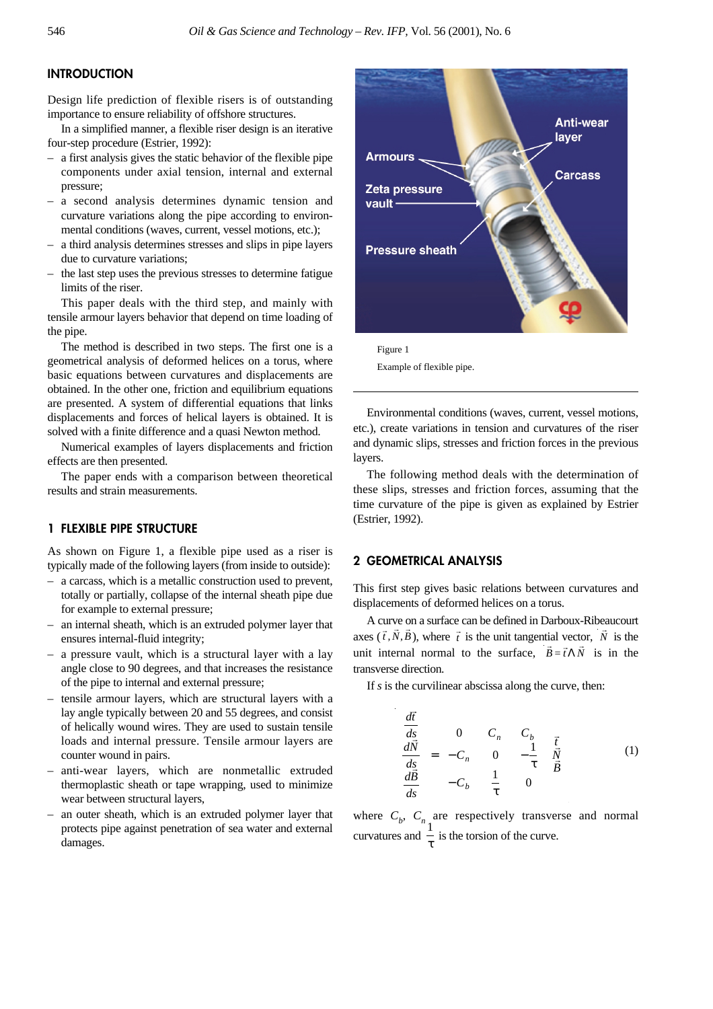## **INTRODUCTION**

Design life prediction of flexible risers is of outstanding importance to ensure reliability of offshore structures.

In a simplified manner, a flexible riser design is an iterative four-step procedure (Estrier, 1992):

- a first analysis gives the static behavior of the flexible pipe components under axial tension, internal and external pressure;
- a second analysis determines dynamic tension and curvature variations along the pipe according to environmental conditions (waves, current, vessel motions, etc.);
- a third analysis determines stresses and slips in pipe layers due to curvature variations;
- the last step uses the previous stresses to determine fatigue limits of the riser.

This paper deals with the third step, and mainly with tensile armour layers behavior that depend on time loading of the pipe.

The method is described in two steps. The first one is a geometrical analysis of deformed helices on a torus, where basic equations between curvatures and displacements are obtained. In the other one, friction and equilibrium equations are presented. A system of differential equations that links displacements and forces of helical layers is obtained. It is solved with a finite difference and a quasi Newton method.

Numerical examples of layers displacements and friction effects are then presented.

The paper ends with a comparison between theoretical results and strain measurements.

## **1 FLEXIBLE PIPE STRUCTURE**

As shown on Figure 1, a flexible pipe used as a riser is typically made of the following layers (from inside to outside):

- a carcass, which is a metallic construction used to prevent, totally or partially, collapse of the internal sheath pipe due for example to external pressure;
- an internal sheath, which is an extruded polymer layer that ensures internal-fluid integrity;
- a pressure vault, which is a structural layer with a lay angle close to 90 degrees, and that increases the resistance of the pipe to internal and external pressure;
- tensile armour layers, which are structural layers with a lay angle typically between 20 and 55 degrees, and consist of helically wound wires. They are used to sustain tensile loads and internal pressure. Tensile armour layers are counter wound in pairs.
- anti-wear layers, which are nonmetallic extruded thermoplastic sheath or tape wrapping, used to minimize wear between structural layers,
- an outer sheath, which is an extruded polymer layer that protects pipe against penetration of sea water and external damages.



Figure 1 Example of flexible pipe.

Environmental conditions (waves, current, vessel motions, etc.), create variations in tension and curvatures of the riser and dynamic slips, stresses and friction forces in the previous layers.

The following method deals with the determination of these slips, stresses and friction forces, assuming that the time curvature of the pipe is given as explained by Estrier (Estrier, 1992).

#### **2 GEOMETRICAL ANALYSIS**

This first step gives basic relations between curvatures and displacements of deformed helices on a torus.

A curve on a surface can be defined in Darboux-Ribeaucourt axes  $(\vec{t}, \vec{N}, \vec{B})$ , where  $\vec{t}$  is the unit tangential vector,  $\vec{N}$  is the unit internal normal to the surface,  $\vec{B} = \vec{t} \wedge \vec{N}$  is in the transverse direction.

If *s* is the curvilinear abscissa along the curve, then:

$$
\begin{bmatrix}\n\frac{d\vec{t}}{ds} \\
\frac{d\vec{N}}{ds} \\
\frac{d\vec{B}}{ds}\n\end{bmatrix} = \begin{bmatrix}\n0 & C_n & C_b \\
-C_n & 0 & -\frac{1}{\tau} \\
-C_b & \frac{1}{\tau} & 0\n\end{bmatrix} \begin{bmatrix}\n\vec{t} \\
\vec{N} \\
\vec{B}\n\end{bmatrix}
$$
\n(1)

where  $C_b$ ,  $C_{n_1}$  are respectively transverse and normal curvatures and  $\frac{n}{2}$  is the torsion of the curve. τ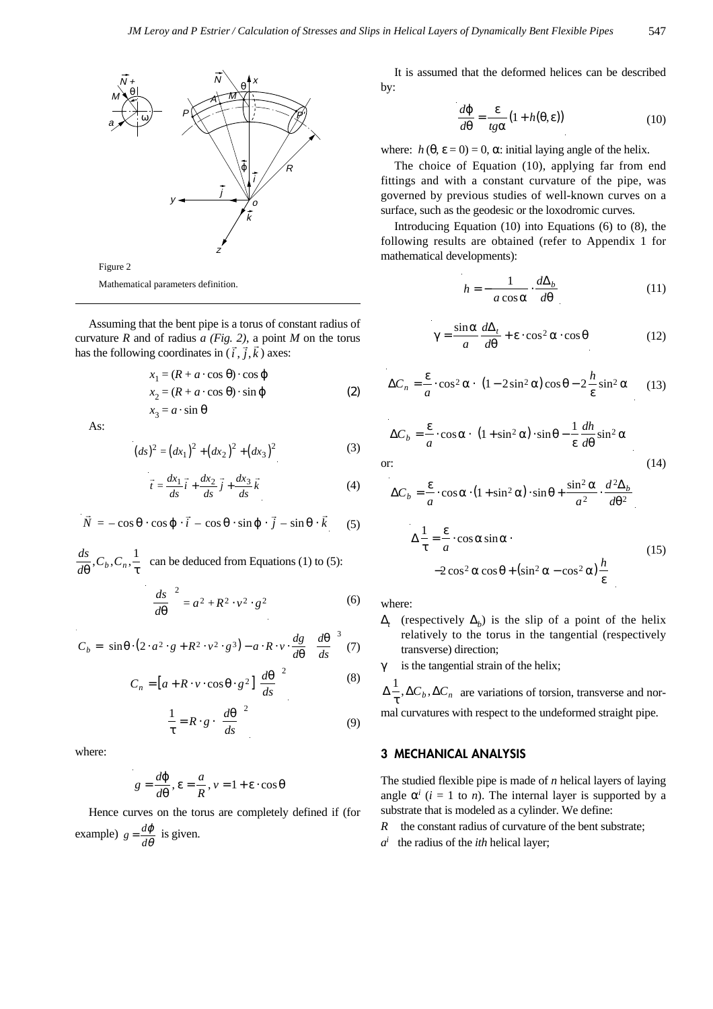

Assuming that the bent pipe is a torus of constant radius of curvature  $R$  and of radius  $a$  (Fig. 2), a point  $M$  on the torus curvature *K* and of radius *a* (*Fig. 2*), a point *i* has the following coordinates in  $(\vec{i}, \vec{j}, \vec{k})$  axes:

$$
x_1 = (R + a \cdot \cos \theta) \cdot \cos \phi
$$
  
\n
$$
x_2 = (R + a \cdot \cos \theta) \cdot \sin \phi
$$
  
\n
$$
x_3 = a \cdot \sin \theta
$$
 (2)

As:

$$
(ds)^{2} = (dx_{1})^{2} + (dx_{2})^{2} + (dx_{3})^{2}
$$
 (3)

$$
\vec{t} = \frac{dx_1}{ds}\vec{i} + \frac{dx_2}{ds}\vec{j} + \frac{dx_3}{ds}\vec{k}
$$
 (4)

$$
\vec{N} = -\cos\theta \cdot \cos\phi \cdot \vec{i} - \cos\theta \cdot \sin\phi \cdot \vec{j} - \sin\theta \cdot \vec{k} \qquad (5)
$$

 $\frac{ds}{dS}$ ,  $C_h$ ,  $C_n$ ,  $\frac{1}{s}$  can be deduced from Equations (1) to (5): (6)  $\left(\frac{ds}{d\theta}\right)^2 = a^2 + R^2 \cdot v^2 \cdot g$  $\left(\frac{ds}{d\theta}\right)^2 = a^2 + R^2 \cdot v^2$ 2  $= a^2 + R^2 \cdot v^2 \cdot g^2$  $\frac{ds}{d\theta}$ ,  $C_b$ ,  $C_n$ ,  $\frac{1}{\tau}$ 

$$
C_b = \left[ \sin \theta \cdot (2 \cdot a^2 \cdot g + R^2 \cdot v^2 \cdot g^3) - a \cdot R \cdot v \cdot \frac{dg}{d\theta} \right] \left( \frac{d\theta}{ds} \right)^3 \tag{7}
$$

$$
C_n = [a + R \cdot v \cdot \cos \theta \cdot g^2] \left(\frac{d\theta}{ds}\right)^2
$$
(8)  

$$
\frac{1}{\tau} = R \cdot g \cdot \left(\frac{d\theta}{ds}\right)^2
$$
(9)

where:

$$
g = \frac{d\varphi}{d\theta}, \varepsilon = \frac{a}{R}, v = 1 + \varepsilon \cdot \cos\theta
$$

Hence curves on the torus are completely defined if (for example)  $g = \frac{d\varphi}{d\theta}$  is given.

It is assumed that the deformed helices can be described by:

$$
\frac{d\Phi}{d\theta} = \frac{\varepsilon}{t g \alpha} (1 + h(\theta, \varepsilon))
$$
\n(10)

where:  $h(\theta, \varepsilon = 0) = 0$ ,  $\alpha$ : initial laying angle of the helix.

The choice of Equation (10), applying far from end fittings and with a constant curvature of the pipe, was governed by previous studies of well-known curves on a surface, such as the geodesic or the loxodromic curves.

Introducing Equation (10) into Equations (6) to (8), the following results are obtained (refer to Appendix 1 for mathematical developments):

$$
h = -\frac{1}{a\cos\alpha} \cdot \frac{d\Delta_b}{d\theta} \tag{11}
$$

$$
\gamma = \frac{\sin \alpha}{a} \frac{d\Delta_t}{d\theta} + \varepsilon \cdot \cos^2 \alpha \cdot \cos \theta \tag{12}
$$

$$
\Delta C_n = \frac{\varepsilon}{a} \cdot \cos^2 \alpha \cdot \left[ (1 - 2\sin^2 \alpha) \cos \theta - 2\frac{h}{\varepsilon} \sin^2 \alpha \right] \tag{13}
$$

$$
\Delta C_b = \frac{\varepsilon}{a} \cdot \cos \alpha \cdot \left[ (1 + \sin^2 \alpha) \cdot \sin \theta - \frac{1}{\varepsilon} \frac{dh}{d\theta} \sin^2 \alpha \right]
$$
  
or: (14)

$$
\Delta C_b = \frac{\varepsilon}{a} \cdot \cos \alpha \cdot (1 + \sin^2 \alpha) \cdot \sin \theta + \frac{\sin^2 \alpha}{a^2} \cdot \frac{d^2 \Delta_b}{d\theta^2}
$$

$$
\Delta \frac{1}{\tau} = \frac{\varepsilon}{a} \cdot \cos \alpha \sin \alpha \tag{15}
$$

where:

 $\Delta$ <sub>t</sub> (respectively  $\Delta$ <sub>b</sub>) is the slip of a point of the helix relatively to the torus in the tangential (respectively transverse) direction;

 $2\cos^2\alpha\cos\theta + (\sin^2\alpha - \cos^2\theta)$ 

 $\left[-2\cos^2\alpha\cos\theta + (\sin^2\alpha - \cos^2\alpha)\frac{h}{\epsilon}\right]$ 

 $\cos^2 \alpha \cos \theta + (\sin^2 \alpha - \cos^2 \alpha) \frac{h}{h}$ 

γ is the tangential strain of the helix;

 $\Delta \frac{1}{\tau}, \Delta C_b, \Delta C_n$  are variations of torsion, transverse and normal curvatures with respect to the undeformed straight pipe.

## **3 MECHANICAL ANALYSIS**

The studied flexible pipe is made of *n* helical layers of laying angle  $\alpha^{i}$  (*i* = 1 to *n*). The internal layer is supported by a substrate that is modeled as a cylinder. We define:

*R* the constant radius of curvature of the bent substrate;

*ai* the radius of the *ith* helical layer;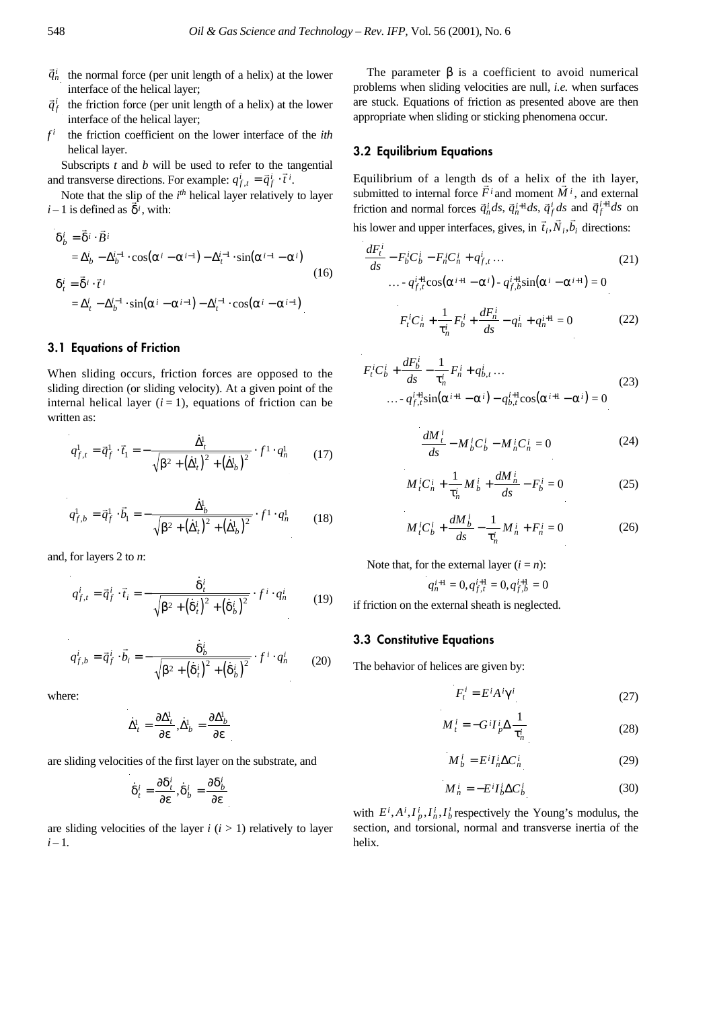- $\vec{q}_n^i$  the normal force (per unit length of a helix) at the lower interface of the helical layer;
- the friction force (per unit length of a helix) at the lower interface of the helical layer;  $\vec{q}^{\,i}_{f}$
- $f<sup>i</sup>$  the friction coefficient on the lower interface of the *ith* helical layer.

Subscripts *t* and *b* will be used to refer to the tangential subscripts *i* and *b* will be used to feler to the tased and transverse directions. For example:  $q_{f,t}^i = \vec{q}_f^i \cdot \vec{t}^i$ .

Note that the slip of the  $i^{th}$  helical layer relatively to layer  $i-1$  is defined as  $\delta^i$ , with:

$$
\delta_b^i = \vec{\delta}^i \cdot \vec{B}^i
$$
  
=  $\Delta_b^i - \Delta_b^{i-1} \cdot \cos(\alpha^i - \alpha^{i-1}) - \Delta_t^{i-1} \cdot \sin(\alpha^{i-1} - \alpha^i)$   

$$
\delta_t^i = \vec{\delta}^i \cdot \vec{t}^i
$$
  
=  $\Delta_t^i - \Delta_b^{i-1} \cdot \sin(\alpha^i - \alpha^{i-1}) - \Delta_t^{i-1} \cdot \cos(\alpha^i - \alpha^{i-1})$  (16)

## **3.1 Equations of Friction**

When sliding occurs, friction forces are opposed to the sliding direction (or sliding velocity). At a given point of the internal helical layer  $(i = 1)$ , equations of friction can be written as:

$$
q_{f,t}^1 = \vec{q}_f^1 \cdot \vec{t}_1 = -\frac{\dot{\Delta}_t^1}{\sqrt{\beta^2 + (\dot{\Delta}_t^1)^2 + (\dot{\Delta}_b^1)^2}} \cdot f^1 \cdot q_n^1 \tag{17}
$$

$$
q_{f,b}^1 = \vec{q}_f^1 \cdot \vec{b}_1 = -\frac{\dot{\Delta}_b^1}{\sqrt{\beta^2 + (\dot{\Delta}_t^1)^2 + (\dot{\Delta}_b^1)^2}} \cdot f^1 \cdot q_n^1 \qquad (18)
$$

and, for layers 2 to *n*:

 $\bar{z}$ 

$$
q_{f,t}^i = \vec{q}_f^i \cdot \vec{t}_i = -\frac{\dot{\delta}_t^i}{\sqrt{\beta^2 + (\dot{\delta}_t^i)^2 + (\dot{\delta}_b^i)^2}} \cdot f^i \cdot q_n^i \tag{19}
$$

$$
q_{f,b}^i = \vec{q}_f^i \cdot \vec{b}_i = -\frac{\dot{\delta}_b^i}{\sqrt{\beta^2 + (\dot{\delta}_t^i)^2 + (\dot{\delta}_b^i)^2}} \cdot f^i \cdot q_n^i \qquad (20)
$$

where:

$$
\dot{\Delta}_t^{\rm l}=\frac{\partial\Delta_t^{\rm l}}{\partial\boldsymbol{\varepsilon}},\dot{\Delta}_b^{\rm l}=\frac{\partial\Delta_b^{\rm l}}{\partial\boldsymbol{\varepsilon}}
$$

are sliding velocities of the first layer on the substrate, and

$$
\dot{\delta}^i_t = \frac{\partial \delta^i_t}{\partial \varepsilon}, \dot{\delta}^i_b = \frac{\partial \delta^i_b}{\partial \varepsilon}
$$

are sliding velocities of the layer  $i$   $(i > 1)$  relatively to layer  $i - 1$ .

The parameter  $\beta$  is a coefficient to avoid numerical problems when sliding velocities are null, *i.e.* when surfaces are stuck. Equations of friction as presented above are then appropriate when sliding or sticking phenomena occur.

### **3.2 Equilibrium Equations**

Equilibrium of a length ds of a helix of the ith layer, Equilibrium of a length as of a neity of the ith layer,<br>submitted to internal force  $\vec{F}^i$  and moment  $\vec{M}^i$ , and external friction and normal forces  $\vec{q}_h^i ds$ ,  $\vec{q}_h^{i+1} ds$ ,  $\vec{q}_f^i ds$  and  $\vec{q}_f^{i+1} ds$  on his lower and upper interfaces, gives, in  $\vec{t}_i$ ,  $\vec{N}_i$ ,  $\vec{b}_i$  directions:

(21)  $\frac{dF_t^i}{ds} - F_b^i C_b^i - F_n^i C_n^i + q$  $\dots$  -  $q_{f,t}^{i+1}$ cos(α<sup>i+1</sup> − α<sup>i</sup>) -  $q_{f,b}^{i+1}$ sin(α<sup>i</sup> − α<sup>i+1</sup>) = 0  $-F_b^i C_b^i - F_n^i C_n^i + q_{f,t}^i ...$ 

$$
F_i^i C_n^i + \frac{1}{\tau_n^i} F_b^i + \frac{dF_n^i}{ds} - q_n^i + q_n^{i+1} = 0
$$
 (22)

$$
F_t^i C_b^i + \frac{dF_b^i}{ds} - \frac{1}{\tau_n^i} F_n^i + q_{b,t}^i \dots
$$
  
 
$$
\dots - q_{f,t}^{i+1} \sin(\alpha^{i+1} - \alpha^i) - q_{b,t}^{i+1} \cos(\alpha^{i+1} - \alpha^i) = 0
$$
 (23)

$$
\frac{dM_t^i}{ds} - M_b^i C_b^i - M_n^i C_n^i = 0
$$
\n(24)

$$
M_i^i C_n^i + \frac{1}{\tau_n^i} M_b^i + \frac{dM_n^i}{ds} - F_b^i = 0
$$
 (25)

$$
M_i^i C_b^i + \frac{dM_b^i}{ds} - \frac{1}{\tau_n^i} M_n^i + F_n^i = 0
$$
 (26)

Note that, for the external layer  $(i = n)$ :

$$
q_n^{i+1} = 0, q_{f,t}^{i+1} = 0, q_{f,b}^{i+1} = 0
$$

if friction on the external sheath is neglected.

#### **3.3 Constitutive Equations**

The behavior of helices are given by:

$$
F_t^i = E^i A^i \gamma^i \tag{27}
$$

$$
M_t^i = -G^i I_p^i \Delta \frac{1}{\tau_n^i}
$$
 (28)

$$
M_b^i = E^i I_n^i \Delta C_n^i \tag{29}
$$

$$
M_n^i = -E^i I_b^i \Delta C_b^i \tag{30}
$$

with  $E^{i}$ ,  $A^{i}$ ,  $I_{p}^{i}$ ,  $I_{n}^{i}$ ,  $I_{b}^{i}$  respectively the Young's modulus, the section, and torsional, normal and transverse inertia of the helix.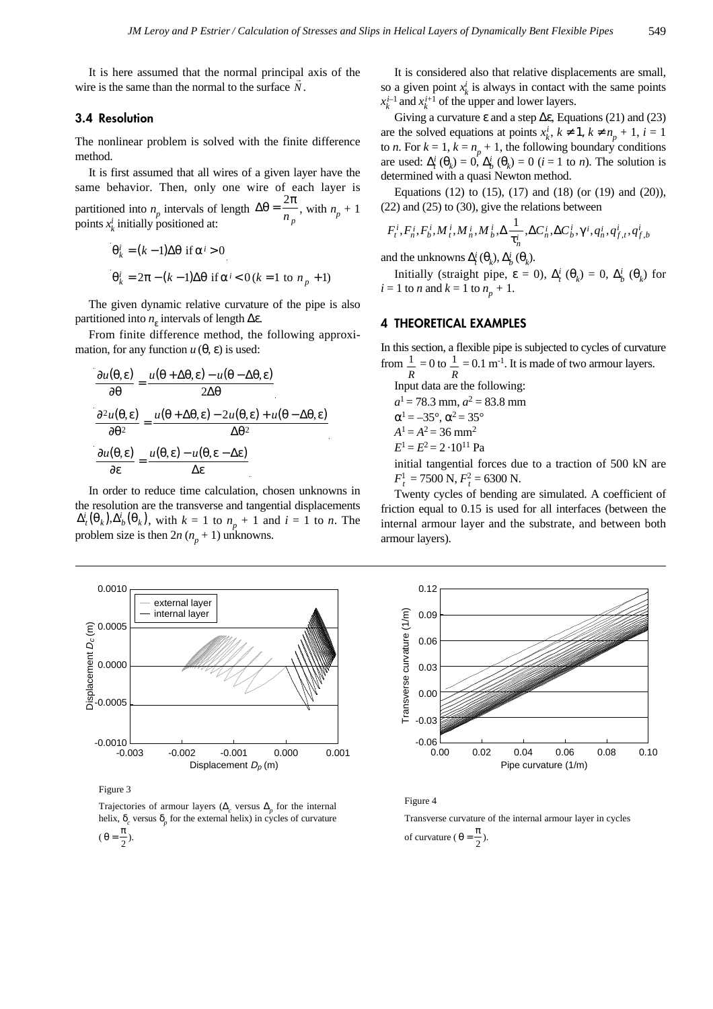It is here assumed that the normal principal axis of the wire is the same than the normal to the surface  $\tilde{N}$ .

#### **3.4 Resolution**

The nonlinear problem is solved with the finite difference method.

It is first assumed that all wires of a given layer have the same behavior. Then, only one wire of each layer is partitioned into  $n_p$  intervals of length  $\Delta\theta = \frac{2\pi}{p}$ , with  $n_p + 1$ points  $x_k^i$  initially positioned at: *n p*

$$
\theta_k^i = (k-1)\Delta\theta \text{ if } \alpha^i > 0
$$
  

$$
\theta_k^i = 2\pi - (k-1)\Delta\theta \text{ if } \alpha^i < 0 \text{ (}k = 1 \text{ to } n_p + 1 \text{)}
$$

The given dynamic relative curvature of the pipe is also partitioned into  $n_e$  intervals of length  $\Delta \varepsilon$ .

From finite difference method, the following approximation, for any function  $u(\theta, \varepsilon)$  is used:

$$
\frac{\partial u(\theta, \varepsilon)}{\partial \theta} = \frac{u(\theta + \Delta\theta, \varepsilon) - u(\theta - \Delta\theta, \varepsilon)}{2\Delta\theta}
$$

$$
\frac{\partial^2 u(\theta, \varepsilon)}{\partial \theta^2} = \frac{u(\theta + \Delta\theta, \varepsilon) - 2u(\theta, \varepsilon) + u(\theta - \Delta\theta, \varepsilon)}{\Delta\theta^2}
$$

$$
\frac{\partial u(\theta, \varepsilon)}{\partial \varepsilon} = \frac{u(\theta, \varepsilon) - u(\theta, \varepsilon - \Delta\varepsilon)}{\Delta\varepsilon}
$$

In order to reduce time calculation, chosen unknowns in the resolution are the transverse and tangential displacements  $\Delta_t^i(\theta_k)$ ,  $\Delta_b^i(\theta_k)$ , with  $k = 1$  to  $n_p + 1$  and  $i = 1$  to *n*. The problem size is then  $2n (n_p + 1)$  unknowns.

It is considered also that relative displacements are small, so a given point  $x_k^i$  is always in contact with the same points  $x_k^{i-1}$  and  $x_k^{i+1}$  of the upper and lower layers.

Giving a curvature  $ε$  and a step  $Δε$ , Equations (21) and (23) are the solved equations at points  $x_k^i$ ,  $k \neq 1$ ,  $k \neq n_p + 1$ ,  $i = 1$ to *n*. For  $k = 1$ ,  $k = n_p + 1$ , the following boundary conditions are used:  $\Delta_i^i$  ( $\theta_k$ ) = 0,  $\Delta_b^i$  ( $\theta_k$ ) = 0 (*i* = 1 to *n*). The solution is determined with a quasi Newton method.

Equations (12) to (15), (17) and (18) (or (19) and (20)), (22) and (25) to (30), give the relations between

$$
F_i^i, F_n^i, F_b^i, M_i^i, M_n^i, M_b^i, \Delta \frac{1}{\tau_n^i}, \Delta C_n^i, \Delta C_b^i, \gamma^i, q_n^i, q_{f,t}^i, q_{f,b}^i
$$

and the unknowns  $\Delta_t^i(\theta_k), \Delta_b^i(\theta_k)$ .

Initially (straight pipe,  $\varepsilon = 0$ ),  $\Delta_t^i$  ( $\theta_k$ ) = 0,  $\Delta_b^i$  ( $\theta_k$ ) for  $i = 1$  to *n* and  $k = 1$  to  $n_p + 1$ .

#### **4 THEORETICAL EXAMPLES**

In this section, a flexible pipe is subjected to cycles of curvature from  $\frac{1}{1} = 0$  to  $\frac{1}{1} = 0.1$  m<sup>-1</sup>. It is made of two armour layers. Input data are the following: *R* 1 *R*

 $a<sup>1</sup> = 78.3$  mm,  $a<sup>2</sup> = 83.8$  mm  $\alpha^1 = -35^\circ$ ,  $\alpha^2 = 35^\circ$  $A<sup>1</sup> = A<sup>2</sup> = 36$  mm<sup>2</sup>  $E^1 = E^2 = 2 \cdot 10^{11}$  Pa

initial tangential forces due to a traction of 500 kN are  $F_t^1 = 7500 \text{ N}, F_t^2 = 6300 \text{ N}.$ 

Twenty cycles of bending are simulated. A coefficient of friction equal to 0.15 is used for all interfaces (between the internal armour layer and the substrate, and between both armour layers).



Figure 3

Trajectories of armour layers ( $\Delta_c$  versus  $\Delta_p$  for the internal helix,  $\delta_c$  versus  $\delta_p$  for the external helix) in cycles of curvature  $(\theta = \frac{\pi}{2})$ .





Transverse curvature of the internal armour layer in cycles of curvature ( $\theta = \frac{\pi}{2}$ ).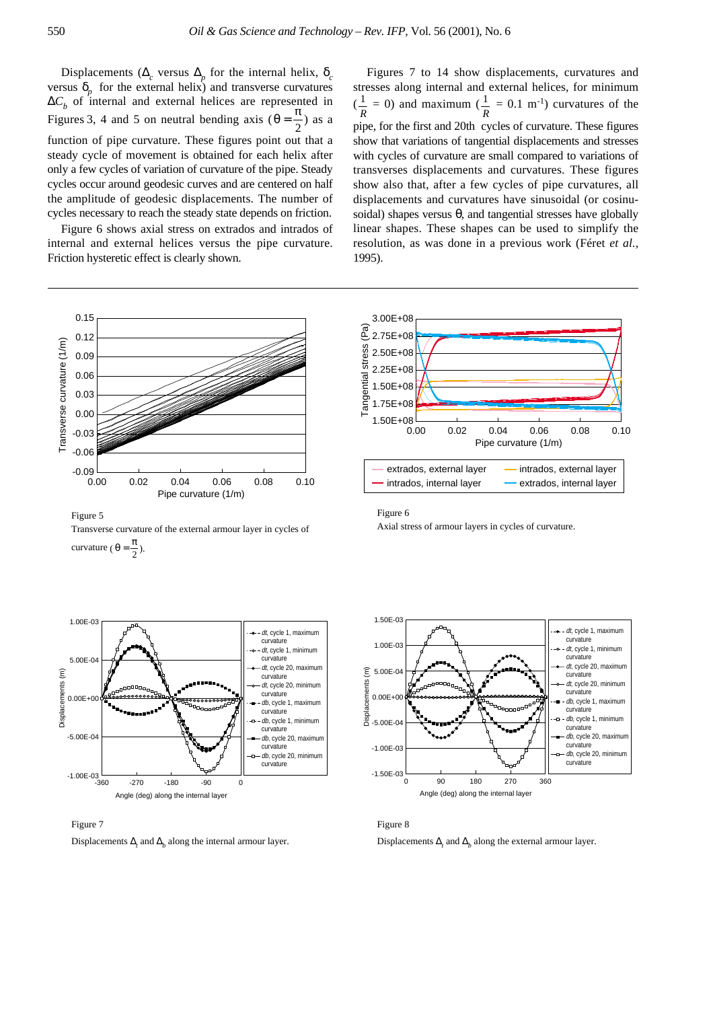Displacements ( $\Delta_c$  versus  $\Delta_p$  for the internal helix,  $\delta_c$ versus  $\delta_p$  for the external helix) and transverse curvatures  $\Delta C_b$  of internal and external helices are represented in Figures 3, 4 and 5 on neutral bending axis  $(\theta = \frac{\pi}{2})$  as a pip function of pipe curvature. These figures point out that a steady cycle of movement is obtained for each helix after only a few cycles of variation of curvature of the pipe. Steady cycles occur around geodesic curves and are centered on half the amplitude of geodesic displacements. The number of cycles necessary to reach the steady state depends on friction.

Figure 6 shows axial stress on extrados and intrados of internal and external helices versus the pipe curvature. Friction hysteretic effect is clearly shown.

Figures 7 to 14 show displacements, curvatures and stresses along internal and external helices, for minimum  $(\frac{1}{\epsilon} = 0)$  and maximum  $(\frac{1}{\epsilon} = 0.1 \text{ m}^{-1})$  curvatures of the pipe, for the first and 20th cycles of curvature. These figures show that variations of tangential displacements and stresses with cycles of curvature are small compared to variations of transverses displacements and curvatures. These figures show also that, after a few cycles of pipe curvatures, all displacements and curvatures have sinusoidal (or cosinusoidal) shapes versus  $\theta$ , and tangential stresses have globally linear shapes. These shapes can be used to simplify the resolution, as was done in a previous work (Féret *et al.*, 1995). *R* 1



Figure 5

Transverse curvature of the external armour layer in cycles of curvature ( $\theta = \frac{\pi}{2}$ ).





Displacements  $\Delta_t$  and  $\Delta_b$  along the internal armour layer.



Figure 6 Axial stress of armour layers in cycles of curvature.



#### Figure 8

Displacements  $\Delta_t$  and  $\Delta_b$  along the external armour layer.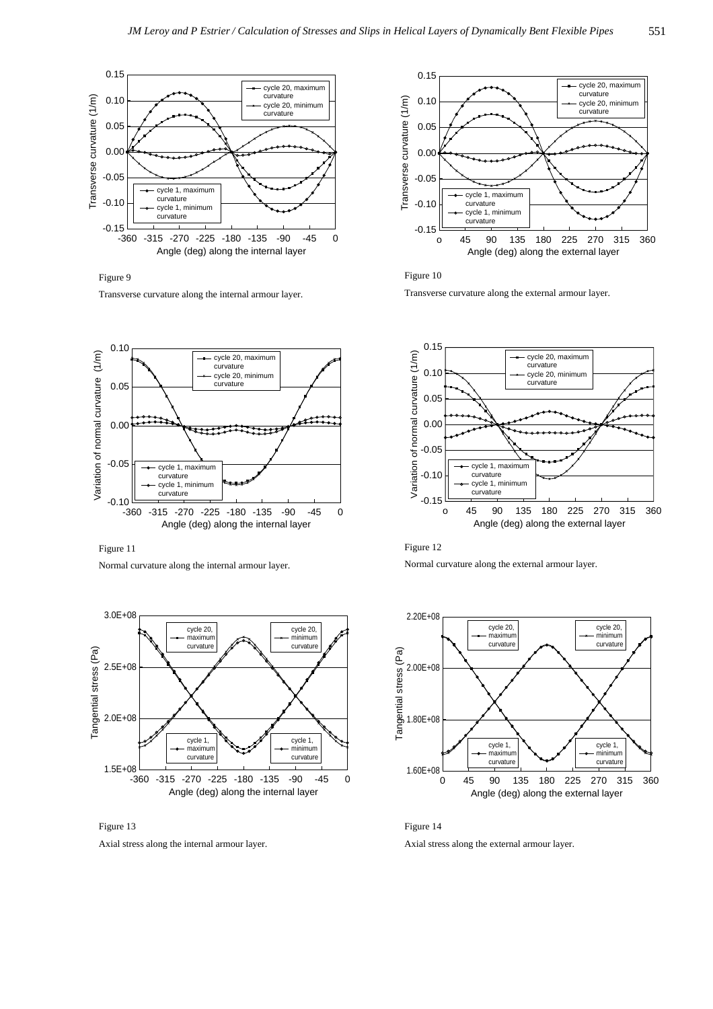

Figure 9

Transverse curvature along the internal armour layer.



Figure 11

Normal curvature along the internal armour layer.



Figure 13

Axial stress along the internal armour layer.



Figure 10

Transverse curvature along the external armour layer.



Figure 12 Normal curvature along the external armour layer.



Figure 14 Axial stress along the external armour layer.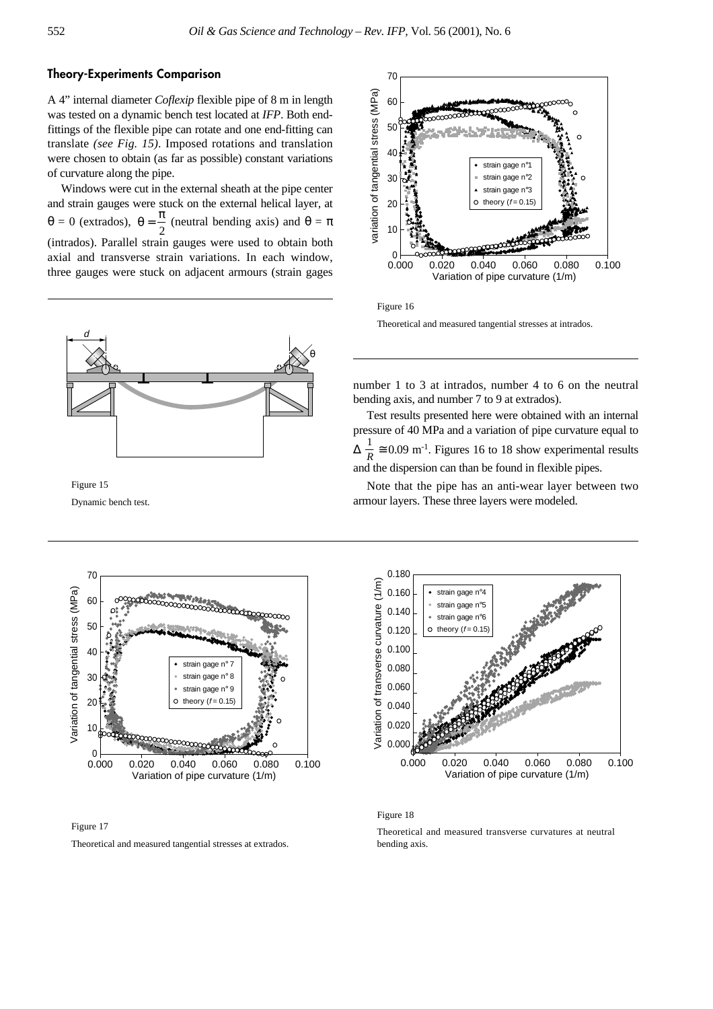## **Theory-Experiments Comparison**

A 4" internal diameter *Coflexip* flexible pipe of 8 m in length was tested on a dynamic bench test located at *IFP*. Both endfittings of the flexible pipe can rotate and one end-fitting can translate *(see Fig. 15)*. Imposed rotations and translation were chosen to obtain (as far as possible) constant variations of curvature along the pipe.

Windows were cut in the external sheath at the pipe center and strain gauges were stuck on the external helical layer, at  $θ = 0$  (extrados),  $θ = \frac{π}{2}$  (neutral bending axis) and  $θ = π$ (intrados). Parallel strain gauges were used to obtain both axial and transverse strain variations. In each window, three gauges were stuck on adjacent armours (strain gages



Figure 15 Dynamic bench test.



Theoretical and measured tangential stresses at intrados.

number 1 to 3 at intrados, number 4 to 6 on the neutral bending axis, and number 7 to 9 at extrados).

Test results presented here were obtained with an internal pressure of 40 MPa and a variation of pipe curvature equal to  $\Delta \frac{1}{R} \approx 0.09$  m<sup>-1</sup>. Figures 16 to 18 show experimental results and the dispersion can than be found in flexible pipes. *R*

Note that the pipe has an anti-wear layer between two armour layers. These three layers were modeled.







Figure 18

Theoretical and measured transverse curvatures at neutral bending axis.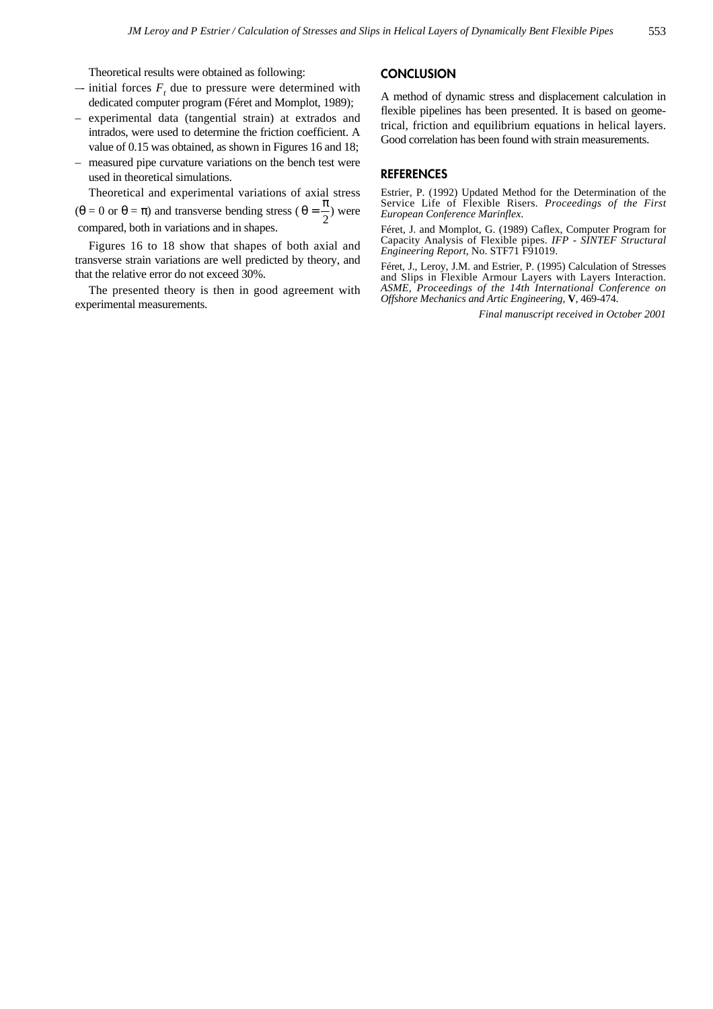Theoretical results were obtained as following:

- $-$  initial forces  $F_t$ , due to pressure were determined with dedicated computer program (Féret and Momplot, 1989);
- experimental data (tangential strain) at extrados and intrados, were used to determine the friction coefficient. A value of 0.15 was obtained, as shown in Figures 16 and 18;
- measured pipe curvature variations on the bench test were used in theoretical simulations.

Theoretical and experimental variations of axial stress  $(\theta = 0 \text{ or } \theta = \pi)$  and transverse bending stress  $(\theta = \frac{\pi}{2})$  were compared, both in variations and in shapes.

Figures 16 to 18 show that shapes of both axial and transverse strain variations are well predicted by theory, and that the relative error do not exceed 30%.

The presented theory is then in good agreement with experimental measurements.

#### **CONCLUSION**

A method of dynamic stress and displacement calculation in flexible pipelines has been presented. It is based on geometrical, friction and equilibrium equations in helical layers. Good correlation has been found with strain measurements.

#### **REFERENCES**

Estrier, P. (1992) Updated Method for the Determination of the Service Life of Flexible Risers*. Proceedings of the First European Conference Marinflex*.

Féret, J. and Momplot, G. (1989) Caflex, Computer Program for Capacity Analysis of Flexible pipes. *IFP - SINTEF Structural Engineering Report*, No. STF71 F91019.

Féret, J., Leroy, J.M. and Estrier, P. (1995) Calculation of Stresses and Slips in Flexible Armour Layers with Layers Interaction*. ASME, Proceedings of the 14th International Conference on Offshore Mechanics and Artic Engineering*, **V**, 469-474.

*Final manuscript received in October 2001*